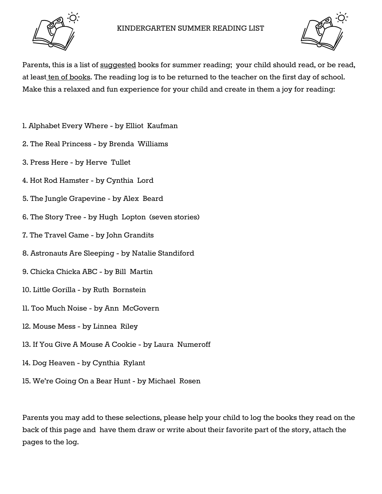



Parents, this is a list of suggested books for summer reading; your child should read, or be read, at least ten of books. The reading log is to be returned to the teacher on the first day of school. Make this a relaxed and fun experience for your child and create in them a joy for reading:

- 1. Alphabet Every Where by Elliot Kaufman
- 2. The Real Princess by Brenda Williams
- 3. Press Here by Herve Tullet
- 4. Hot Rod Hamster by Cynthia Lord
- 5. The Jungle Grapevine by Alex Beard
- 6. The Story Tree by Hugh Lopton (seven stories)
- 7. The Travel Game by John Grandits
- 8. Astronauts Are Sleeping by Natalie Standiford
- 9. Chicka Chicka ABC by Bill Martin
- 10. Little Gorilla by Ruth Bornstein
- 11. Too Much Noise by Ann McGovern
- 12. Mouse Mess by Linnea Riley
- 13. If You Give A Mouse A Cookie by Laura Numeroff
- 14. Dog Heaven by Cynthia Rylant
- 15. We're Going On a Bear Hunt by Michael Rosen

Parents you may add to these selections, please help your child to log the books they read on the back of this page and have them draw or write about their favorite part of the story, attach the pages to the log.